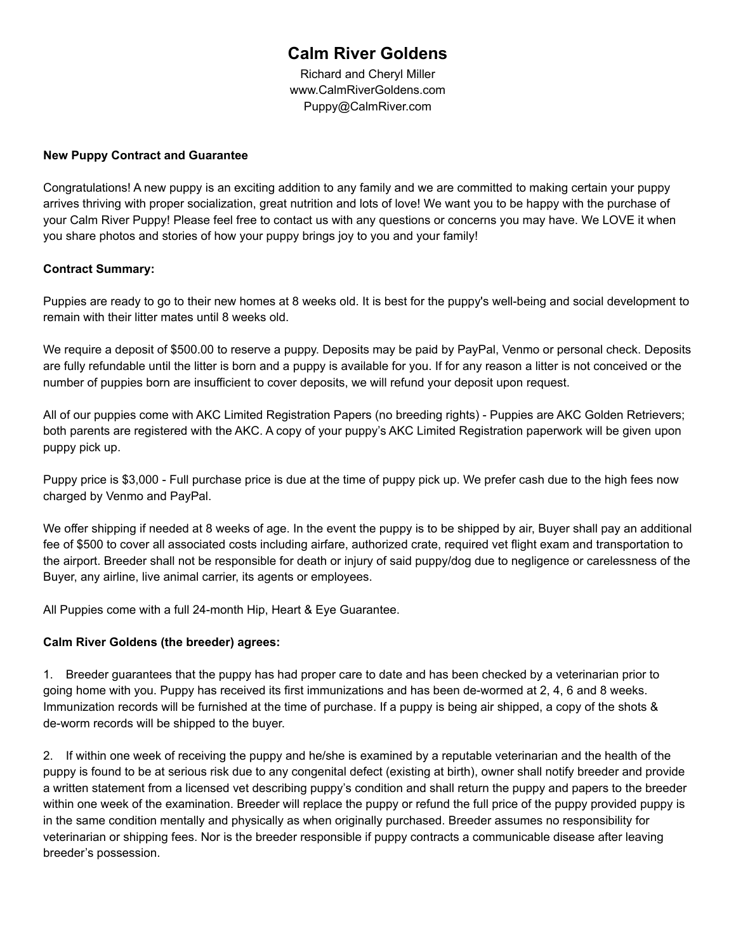# **Calm River Goldens**

Richard and Cheryl Miller www.CalmRiverGoldens.com Puppy@CalmRiver.com

### **New Puppy Contract and Guarantee**

Congratulations! A new puppy is an exciting addition to any family and we are committed to making certain your puppy arrives thriving with proper socialization, great nutrition and lots of love! We want you to be happy with the purchase of your Calm River Puppy! Please feel free to contact us with any questions or concerns you may have. We LOVE it when you share photos and stories of how your puppy brings joy to you and your family!

# **Contract Summary:**

Puppies are ready to go to their new homes at 8 weeks old. It is best for the puppy's well-being and social development to remain with their litter mates until 8 weeks old.

We require a deposit of \$500.00 to reserve a puppy. Deposits may be paid by PayPal, Venmo or personal check. Deposits are fully refundable until the litter is born and a puppy is available for you. If for any reason a litter is not conceived or the number of puppies born are insufficient to cover deposits, we will refund your deposit upon request.

All of our puppies come with AKC Limited Registration Papers (no breeding rights) - Puppies are AKC Golden Retrievers; both parents are registered with the AKC. A copy of your puppy's AKC Limited Registration paperwork will be given upon puppy pick up.

Puppy price is \$3,000 - Full purchase price is due at the time of puppy pick up. We prefer cash due to the high fees now charged by Venmo and PayPal.

We offer shipping if needed at 8 weeks of age. In the event the puppy is to be shipped by air, Buyer shall pay an additional fee of \$500 to cover all associated costs including airfare, authorized crate, required vet flight exam and transportation to the airport. Breeder shall not be responsible for death or injury of said puppy/dog due to negligence or carelessness of the Buyer, any airline, live animal carrier, its agents or employees.

All Puppies come with a full 24-month Hip, Heart & Eye Guarantee.

# **Calm River Goldens (the breeder) agrees:**

1. Breeder guarantees that the puppy has had proper care to date and has been checked by a veterinarian prior to going home with you. Puppy has received its first immunizations and has been de-wormed at 2, 4, 6 and 8 weeks. Immunization records will be furnished at the time of purchase. If a puppy is being air shipped, a copy of the shots & de-worm records will be shipped to the buyer.

2. If within one week of receiving the puppy and he/she is examined by a reputable veterinarian and the health of the puppy is found to be at serious risk due to any congenital defect (existing at birth), owner shall notify breeder and provide a written statement from a licensed vet describing puppy's condition and shall return the puppy and papers to the breeder within one week of the examination. Breeder will replace the puppy or refund the full price of the puppy provided puppy is in the same condition mentally and physically as when originally purchased. Breeder assumes no responsibility for veterinarian or shipping fees. Nor is the breeder responsible if puppy contracts a communicable disease after leaving breeder's possession.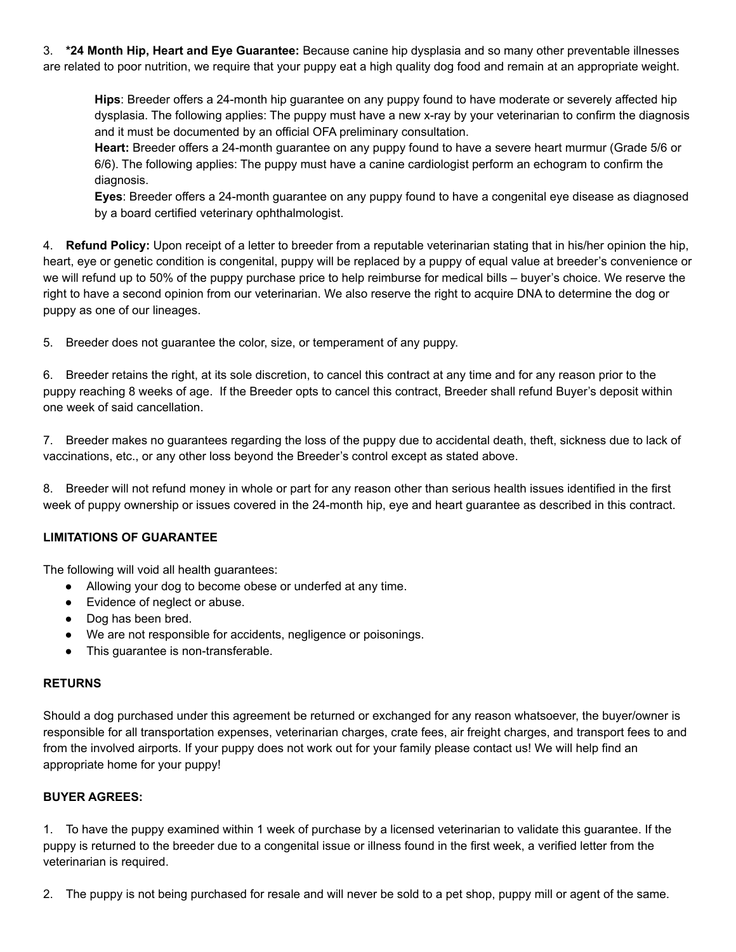3. **\*24 Month Hip, Heart and Eye Guarantee:** Because canine hip dysplasia and so many other preventable illnesses are related to poor nutrition, we require that your puppy eat a high quality dog food and remain at an appropriate weight.

**Hips**: Breeder offers a 24-month hip guarantee on any puppy found to have moderate or severely affected hip dysplasia. The following applies: The puppy must have a new x-ray by your veterinarian to confirm the diagnosis and it must be documented by an official OFA preliminary consultation.

**Heart:** Breeder offers a 24-month guarantee on any puppy found to have a severe heart murmur (Grade 5/6 or 6/6). The following applies: The puppy must have a canine cardiologist perform an echogram to confirm the diagnosis.

**Eyes**: Breeder offers a 24-month guarantee on any puppy found to have a congenital eye disease as diagnosed by a board certified veterinary ophthalmologist.

4. **Refund Policy:** Upon receipt of a letter to breeder from a reputable veterinarian stating that in his/her opinion the hip, heart, eye or genetic condition is congenital, puppy will be replaced by a puppy of equal value at breeder's convenience or we will refund up to 50% of the puppy purchase price to help reimburse for medical bills – buyer's choice. We reserve the right to have a second opinion from our veterinarian. We also reserve the right to acquire DNA to determine the dog or puppy as one of our lineages.

5. Breeder does not guarantee the color, size, or temperament of any puppy.

6. Breeder retains the right, at its sole discretion, to cancel this contract at any time and for any reason prior to the puppy reaching 8 weeks of age. If the Breeder opts to cancel this contract, Breeder shall refund Buyer's deposit within one week of said cancellation.

7. Breeder makes no guarantees regarding the loss of the puppy due to accidental death, theft, sickness due to lack of vaccinations, etc., or any other loss beyond the Breeder's control except as stated above.

8. Breeder will not refund money in whole or part for any reason other than serious health issues identified in the first week of puppy ownership or issues covered in the 24-month hip, eye and heart guarantee as described in this contract.

# **LIMITATIONS OF GUARANTEE**

The following will void all health guarantees:

- Allowing your dog to become obese or underfed at any time.
- Evidence of neglect or abuse.
- Dog has been bred.
- We are not responsible for accidents, negligence or poisonings.
- This guarantee is non-transferable.

### **RETURNS**

Should a dog purchased under this agreement be returned or exchanged for any reason whatsoever, the buyer/owner is responsible for all transportation expenses, veterinarian charges, crate fees, air freight charges, and transport fees to and from the involved airports. If your puppy does not work out for your family please contact us! We will help find an appropriate home for your puppy!

### **BUYER AGREES:**

1. To have the puppy examined within 1 week of purchase by a licensed veterinarian to validate this guarantee. If the puppy is returned to the breeder due to a congenital issue or illness found in the first week, a verified letter from the veterinarian is required.

2. The puppy is not being purchased for resale and will never be sold to a pet shop, puppy mill or agent of the same.